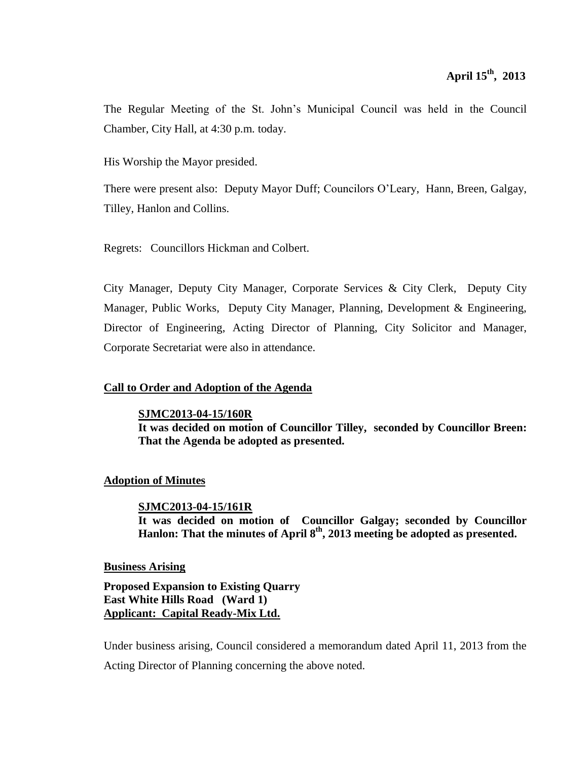The Regular Meeting of the St. John's Municipal Council was held in the Council Chamber, City Hall, at 4:30 p.m. today.

His Worship the Mayor presided.

There were present also: Deputy Mayor Duff; Councilors O'Leary, Hann, Breen, Galgay, Tilley, Hanlon and Collins.

Regrets: Councillors Hickman and Colbert.

City Manager, Deputy City Manager, Corporate Services & City Clerk, Deputy City Manager, Public Works, Deputy City Manager, Planning, Development & Engineering, Director of Engineering, Acting Director of Planning, City Solicitor and Manager, Corporate Secretariat were also in attendance.

# **Call to Order and Adoption of the Agenda**

**SJMC2013-04-15/160R It was decided on motion of Councillor Tilley, seconded by Councillor Breen: That the Agenda be adopted as presented.**

# **Adoption of Minutes**

**SJMC2013-04-15/161R It was decided on motion of Councillor Galgay; seconded by Councillor Hanlon: That the minutes of April 8 th , 2013 meeting be adopted as presented.**

# **Business Arising**

**Proposed Expansion to Existing Quarry East White Hills Road (Ward 1) Applicant: Capital Ready-Mix Ltd.**

Under business arising, Council considered a memorandum dated April 11, 2013 from the Acting Director of Planning concerning the above noted.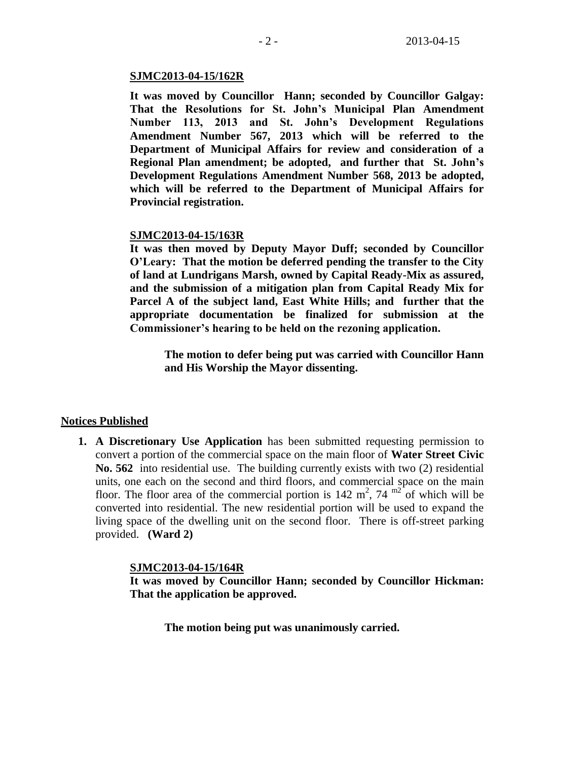#### **SJMC2013-04-15/162R**

**It was moved by Councillor Hann; seconded by Councillor Galgay: That the Resolutions for St. John's Municipal Plan Amendment Number 113, 2013 and St. John's Development Regulations Amendment Number 567, 2013 which will be referred to the Department of Municipal Affairs for review and consideration of a Regional Plan amendment; be adopted, and further that St. John's Development Regulations Amendment Number 568, 2013 be adopted, which will be referred to the Department of Municipal Affairs for Provincial registration.**

#### **SJMC2013-04-15/163R**

**It was then moved by Deputy Mayor Duff; seconded by Councillor O'Leary: That the motion be deferred pending the transfer to the City of land at Lundrigans Marsh, owned by Capital Ready-Mix as assured, and the submission of a mitigation plan from Capital Ready Mix for Parcel A of the subject land, East White Hills; and further that the appropriate documentation be finalized for submission at the Commissioner's hearing to be held on the rezoning application.**

**The motion to defer being put was carried with Councillor Hann and His Worship the Mayor dissenting.**

#### **Notices Published**

**1. A Discretionary Use Application** has been submitted requesting permission to convert a portion of the commercial space on the main floor of **Water Street Civic No. 562** into residential use. The building currently exists with two (2) residential units, one each on the second and third floors, and commercial space on the main floor. The floor area of the commercial portion is  $142 \text{ m}^2$ ,  $74 \text{ m}^2$  of which will be converted into residential. The new residential portion will be used to expand the living space of the dwelling unit on the second floor. There is off-street parking provided. **(Ward 2)**

#### **SJMC2013-04-15/164R**

**It was moved by Councillor Hann; seconded by Councillor Hickman: That the application be approved.**

**The motion being put was unanimously carried.**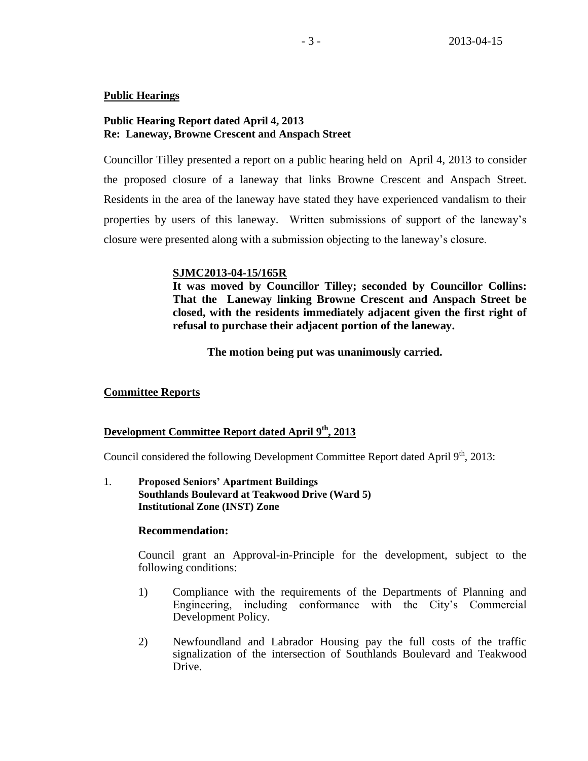## **Public Hearings**

## **Public Hearing Report dated April 4, 2013 Re: Laneway, Browne Crescent and Anspach Street**

Councillor Tilley presented a report on a public hearing held on April 4, 2013 to consider the proposed closure of a laneway that links Browne Crescent and Anspach Street. Residents in the area of the laneway have stated they have experienced vandalism to their properties by users of this laneway. Written submissions of support of the laneway's closure were presented along with a submission objecting to the laneway's closure.

## **SJMC2013-04-15/165R**

**It was moved by Councillor Tilley; seconded by Councillor Collins: That the Laneway linking Browne Crescent and Anspach Street be closed, with the residents immediately adjacent given the first right of refusal to purchase their adjacent portion of the laneway.**

**The motion being put was unanimously carried.**

# **Committee Reports**

# **Development Committee Report dated April 9th, 2013**

Council considered the following Development Committee Report dated April 9<sup>th</sup>, 2013:

1. **Proposed Seniors' Apartment Buildings Southlands Boulevard at Teakwood Drive (Ward 5) Institutional Zone (INST) Zone**

## **Recommendation:**

Council grant an Approval-in-Principle for the development, subject to the following conditions:

- 1) Compliance with the requirements of the Departments of Planning and Engineering, including conformance with the City's Commercial Development Policy.
- 2) Newfoundland and Labrador Housing pay the full costs of the traffic signalization of the intersection of Southlands Boulevard and Teakwood Drive.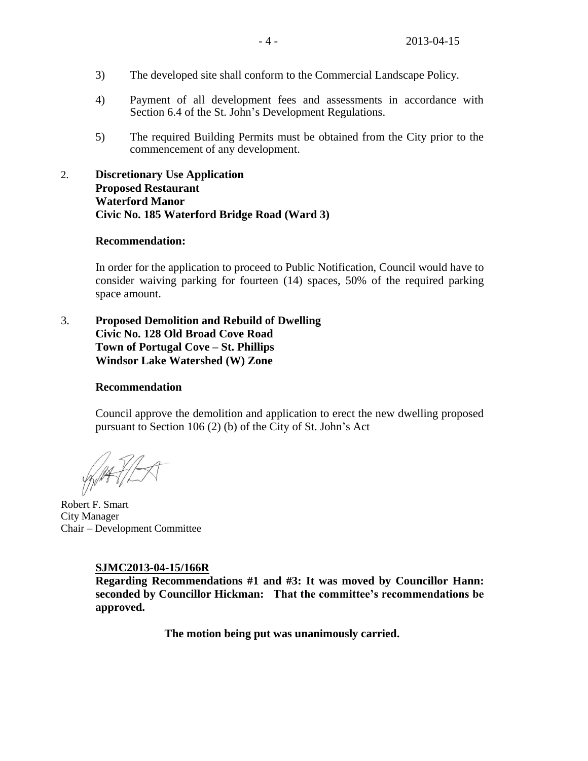- 3) The developed site shall conform to the Commercial Landscape Policy.
- 4) Payment of all development fees and assessments in accordance with Section 6.4 of the St. John's Development Regulations.
- 5) The required Building Permits must be obtained from the City prior to the commencement of any development.
- 2. **Discretionary Use Application Proposed Restaurant Waterford Manor Civic No. 185 Waterford Bridge Road (Ward 3)**

## **Recommendation:**

In order for the application to proceed to Public Notification, Council would have to consider waiving parking for fourteen (14) spaces, 50% of the required parking space amount.

3. **Proposed Demolition and Rebuild of Dwelling Civic No. 128 Old Broad Cove Road Town of Portugal Cove – St. Phillips Windsor Lake Watershed (W) Zone**

## **Recommendation**

Council approve the demolition and application to erect the new dwelling proposed pursuant to Section 106 (2) (b) of the City of St. John's Act

Robert F. Smart City Manager Chair – Development Committee

#### **SJMC2013-04-15/166R**

**Regarding Recommendations #1 and #3: It was moved by Councillor Hann: seconded by Councillor Hickman: That the committee's recommendations be approved.**

**The motion being put was unanimously carried.**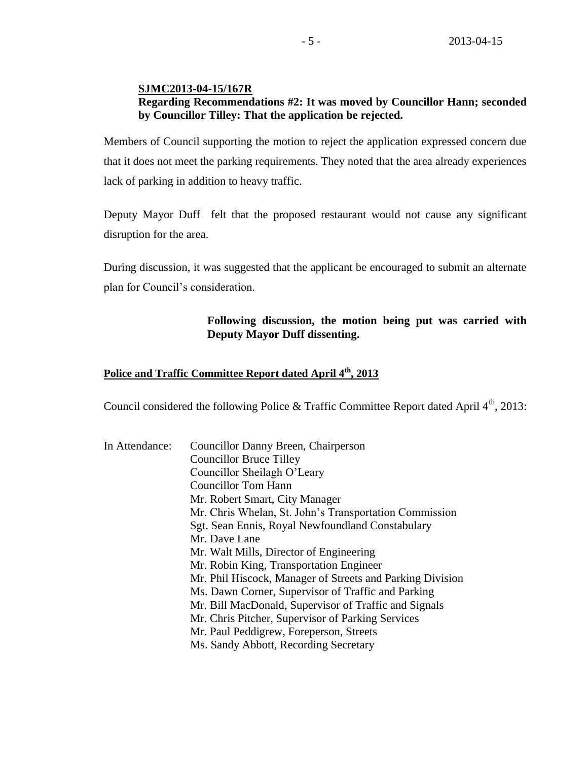## **SJMC2013-04-15/167R Regarding Recommendations #2: It was moved by Councillor Hann; seconded by Councillor Tilley: That the application be rejected.**

Members of Council supporting the motion to reject the application expressed concern due that it does not meet the parking requirements. They noted that the area already experiences lack of parking in addition to heavy traffic.

Deputy Mayor Duff felt that the proposed restaurant would not cause any significant disruption for the area.

During discussion, it was suggested that the applicant be encouraged to submit an alternate plan for Council's consideration.

# **Following discussion, the motion being put was carried with Deputy Mayor Duff dissenting.**

# **Police and Traffic Committee Report dated April 4th, 2013**

Council considered the following Police & Traffic Committee Report dated April  $4<sup>th</sup>$ , 2013:

| In Attendance: | Councillor Danny Breen, Chairperson                       |
|----------------|-----------------------------------------------------------|
|                | <b>Councillor Bruce Tilley</b>                            |
|                | Councillor Sheilagh O'Leary                               |
|                | <b>Councillor Tom Hann</b>                                |
|                | Mr. Robert Smart, City Manager                            |
|                | Mr. Chris Whelan, St. John's Transportation Commission    |
|                | Sgt. Sean Ennis, Royal Newfoundland Constabulary          |
|                | Mr. Dave Lane                                             |
|                | Mr. Walt Mills, Director of Engineering                   |
|                | Mr. Robin King, Transportation Engineer                   |
|                | Mr. Phil Hiscock, Manager of Streets and Parking Division |
|                | Ms. Dawn Corner, Supervisor of Traffic and Parking        |
|                | Mr. Bill MacDonald, Supervisor of Traffic and Signals     |
|                | Mr. Chris Pitcher, Supervisor of Parking Services         |
|                | Mr. Paul Peddigrew, Foreperson, Streets                   |
|                | Ms. Sandy Abbott, Recording Secretary                     |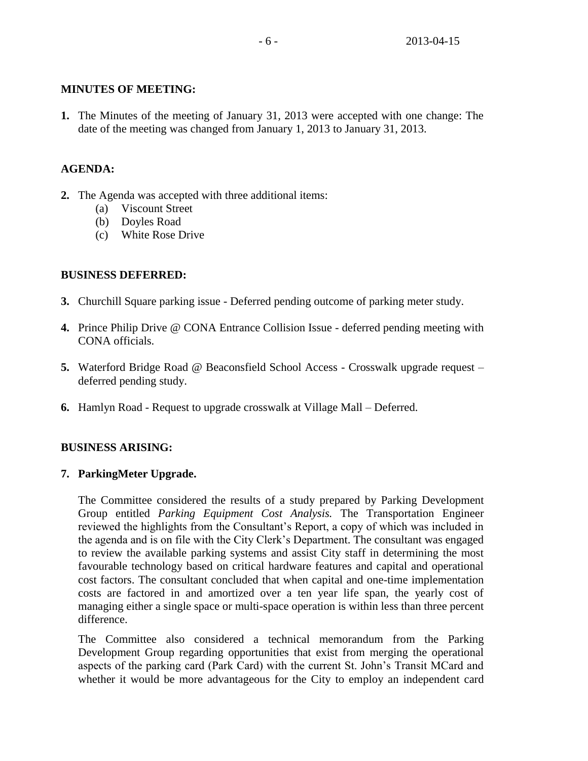# **MINUTES OF MEETING:**

**1.** The Minutes of the meeting of January 31, 2013 were accepted with one change: The date of the meeting was changed from January 1, 2013 to January 31, 2013.

# **AGENDA:**

- **2.** The Agenda was accepted with three additional items:
	- (a) Viscount Street
	- (b) Doyles Road
	- (c) White Rose Drive

# **BUSINESS DEFERRED:**

- **3.** Churchill Square parking issue Deferred pending outcome of parking meter study.
- **4.** Prince Philip Drive @ CONA Entrance Collision Issue deferred pending meeting with CONA officials.
- **5.** Waterford Bridge Road @ Beaconsfield School Access Crosswalk upgrade request deferred pending study.
- **6.** Hamlyn Road Request to upgrade crosswalk at Village Mall Deferred.

# **BUSINESS ARISING:**

# **7. ParkingMeter Upgrade.**

The Committee considered the results of a study prepared by Parking Development Group entitled *Parking Equipment Cost Analysis.* The Transportation Engineer reviewed the highlights from the Consultant's Report, a copy of which was included in the agenda and is on file with the City Clerk's Department. The consultant was engaged to review the available parking systems and assist City staff in determining the most favourable technology based on critical hardware features and capital and operational cost factors. The consultant concluded that when capital and one-time implementation costs are factored in and amortized over a ten year life span, the yearly cost of managing either a single space or multi-space operation is within less than three percent difference.

The Committee also considered a technical memorandum from the Parking Development Group regarding opportunities that exist from merging the operational aspects of the parking card (Park Card) with the current St. John's Transit MCard and whether it would be more advantageous for the City to employ an independent card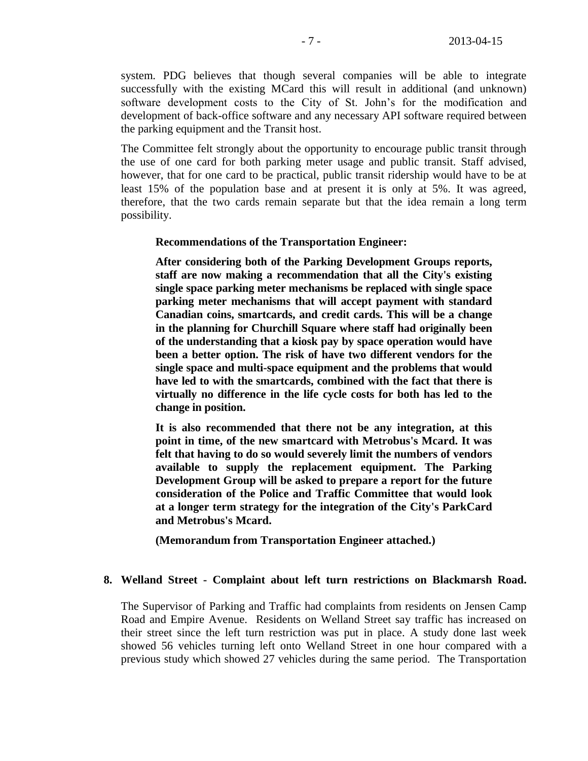system. PDG believes that though several companies will be able to integrate successfully with the existing MCard this will result in additional (and unknown) software development costs to the City of St. John's for the modification and development of back-office software and any necessary API software required between the parking equipment and the Transit host.

The Committee felt strongly about the opportunity to encourage public transit through the use of one card for both parking meter usage and public transit. Staff advised, however, that for one card to be practical, public transit ridership would have to be at least 15% of the population base and at present it is only at 5%. It was agreed, therefore, that the two cards remain separate but that the idea remain a long term possibility.

#### **Recommendations of the Transportation Engineer:**

**After considering both of the Parking Development Groups reports, staff are now making a recommendation that all the City's existing single space parking meter mechanisms be replaced with single space parking meter mechanisms that will accept payment with standard Canadian coins, smartcards, and credit cards. This will be a change in the planning for Churchill Square where staff had originally been of the understanding that a kiosk pay by space operation would have been a better option. The risk of have two different vendors for the single space and multi-space equipment and the problems that would have led to with the smartcards, combined with the fact that there is virtually no difference in the life cycle costs for both has led to the change in position.**

**It is also recommended that there not be any integration, at this point in time, of the new smartcard with Metrobus's Mcard. It was felt that having to do so would severely limit the numbers of vendors available to supply the replacement equipment. The Parking Development Group will be asked to prepare a report for the future consideration of the Police and Traffic Committee that would look at a longer term strategy for the integration of the City's ParkCard and Metrobus's Mcard.**

**(Memorandum from Transportation Engineer attached.)**

#### **8. Welland Street - Complaint about left turn restrictions on Blackmarsh Road.**

The Supervisor of Parking and Traffic had complaints from residents on Jensen Camp Road and Empire Avenue. Residents on Welland Street say traffic has increased on their street since the left turn restriction was put in place. A study done last week showed 56 vehicles turning left onto Welland Street in one hour compared with a previous study which showed 27 vehicles during the same period. The Transportation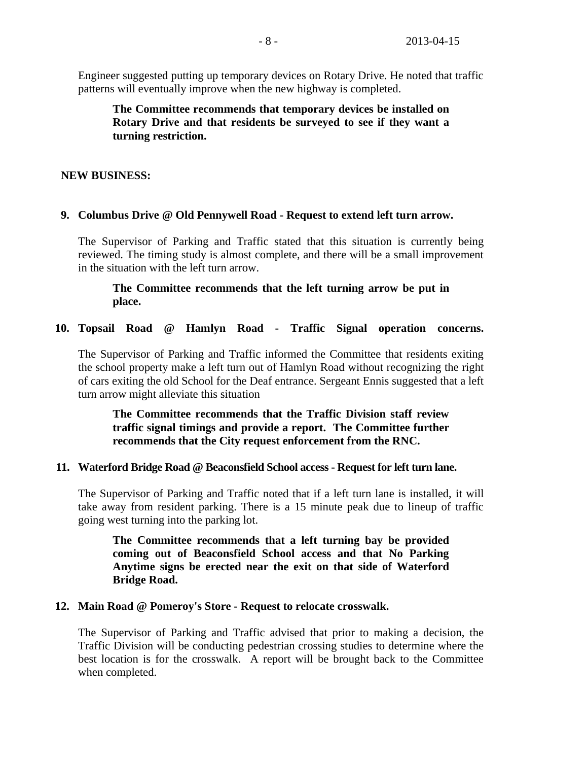Engineer suggested putting up temporary devices on Rotary Drive. He noted that traffic patterns will eventually improve when the new highway is completed.

**The Committee recommends that temporary devices be installed on Rotary Drive and that residents be surveyed to see if they want a turning restriction.**

## **NEW BUSINESS:**

## **9. Columbus Drive @ Old Pennywell Road - Request to extend left turn arrow.**

The Supervisor of Parking and Traffic stated that this situation is currently being reviewed. The timing study is almost complete, and there will be a small improvement in the situation with the left turn arrow.

# **The Committee recommends that the left turning arrow be put in place.**

## **10. Topsail Road @ Hamlyn Road - Traffic Signal operation concerns.**

The Supervisor of Parking and Traffic informed the Committee that residents exiting the school property make a left turn out of Hamlyn Road without recognizing the right of cars exiting the old School for the Deaf entrance. Sergeant Ennis suggested that a left turn arrow might alleviate this situation

**The Committee recommends that the Traffic Division staff review traffic signal timings and provide a report. The Committee further recommends that the City request enforcement from the RNC.**

## **11. Waterford Bridge Road @ Beaconsfield School access - Request for left turn lane.**

The Supervisor of Parking and Traffic noted that if a left turn lane is installed, it will take away from resident parking. There is a 15 minute peak due to lineup of traffic going west turning into the parking lot.

**The Committee recommends that a left turning bay be provided coming out of Beaconsfield School access and that No Parking Anytime signs be erected near the exit on that side of Waterford Bridge Road.** 

#### **12. Main Road @ Pomeroy's Store - Request to relocate crosswalk.**

The Supervisor of Parking and Traffic advised that prior to making a decision, the Traffic Division will be conducting pedestrian crossing studies to determine where the best location is for the crosswalk. A report will be brought back to the Committee when completed.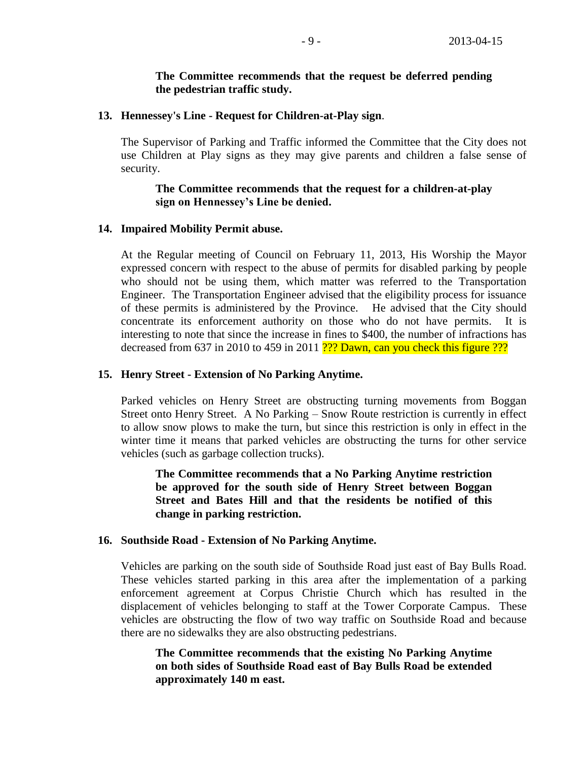## **The Committee recommends that the request be deferred pending the pedestrian traffic study.**

## **13. Hennessey's Line - Request for Children-at-Play sign**.

The Supervisor of Parking and Traffic informed the Committee that the City does not use Children at Play signs as they may give parents and children a false sense of security.

# **The Committee recommends that the request for a children-at-play sign on Hennessey's Line be denied.**

#### **14. Impaired Mobility Permit abuse.**

At the Regular meeting of Council on February 11, 2013, His Worship the Mayor expressed concern with respect to the abuse of permits for disabled parking by people who should not be using them, which matter was referred to the Transportation Engineer. The Transportation Engineer advised that the eligibility process for issuance of these permits is administered by the Province. He advised that the City should concentrate its enforcement authority on those who do not have permits. It is interesting to note that since the increase in fines to \$400, the number of infractions has decreased from 637 in 2010 to 459 in 2011 ??? Dawn, can you check this figure ???

## **15. Henry Street - Extension of No Parking Anytime.**

Parked vehicles on Henry Street are obstructing turning movements from Boggan Street onto Henry Street. A No Parking – Snow Route restriction is currently in effect to allow snow plows to make the turn, but since this restriction is only in effect in the winter time it means that parked vehicles are obstructing the turns for other service vehicles (such as garbage collection trucks).

**The Committee recommends that a No Parking Anytime restriction be approved for the south side of Henry Street between Boggan Street and Bates Hill and that the residents be notified of this change in parking restriction.**

#### **16. Southside Road - Extension of No Parking Anytime.**

Vehicles are parking on the south side of Southside Road just east of Bay Bulls Road. These vehicles started parking in this area after the implementation of a parking enforcement agreement at Corpus Christie Church which has resulted in the displacement of vehicles belonging to staff at the Tower Corporate Campus. These vehicles are obstructing the flow of two way traffic on Southside Road and because there are no sidewalks they are also obstructing pedestrians.

**The Committee recommends that the existing No Parking Anytime on both sides of Southside Road east of Bay Bulls Road be extended approximately 140 m east.**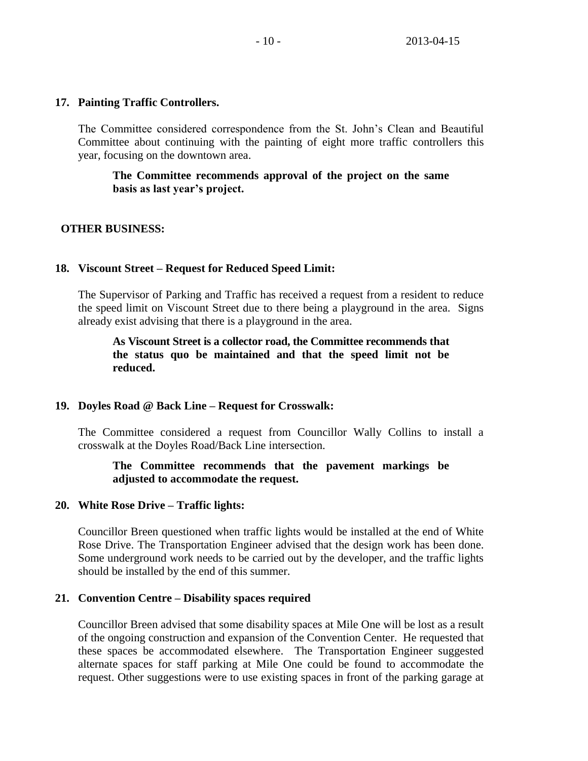## **17. Painting Traffic Controllers.**

The Committee considered correspondence from the St. John's Clean and Beautiful Committee about continuing with the painting of eight more traffic controllers this year, focusing on the downtown area.

## **The Committee recommends approval of the project on the same basis as last year's project.**

## **OTHER BUSINESS:**

## **18. Viscount Street – Request for Reduced Speed Limit:**

The Supervisor of Parking and Traffic has received a request from a resident to reduce the speed limit on Viscount Street due to there being a playground in the area. Signs already exist advising that there is a playground in the area.

**As Viscount Street is a collector road, the Committee recommends that the status quo be maintained and that the speed limit not be reduced.** 

## **19. Doyles Road @ Back Line – Request for Crosswalk:**

The Committee considered a request from Councillor Wally Collins to install a crosswalk at the Doyles Road/Back Line intersection.

## **The Committee recommends that the pavement markings be adjusted to accommodate the request.**

## **20. White Rose Drive – Traffic lights:**

Councillor Breen questioned when traffic lights would be installed at the end of White Rose Drive. The Transportation Engineer advised that the design work has been done. Some underground work needs to be carried out by the developer, and the traffic lights should be installed by the end of this summer.

## **21. Convention Centre – Disability spaces required**

Councillor Breen advised that some disability spaces at Mile One will be lost as a result of the ongoing construction and expansion of the Convention Center. He requested that these spaces be accommodated elsewhere. The Transportation Engineer suggested alternate spaces for staff parking at Mile One could be found to accommodate the request. Other suggestions were to use existing spaces in front of the parking garage at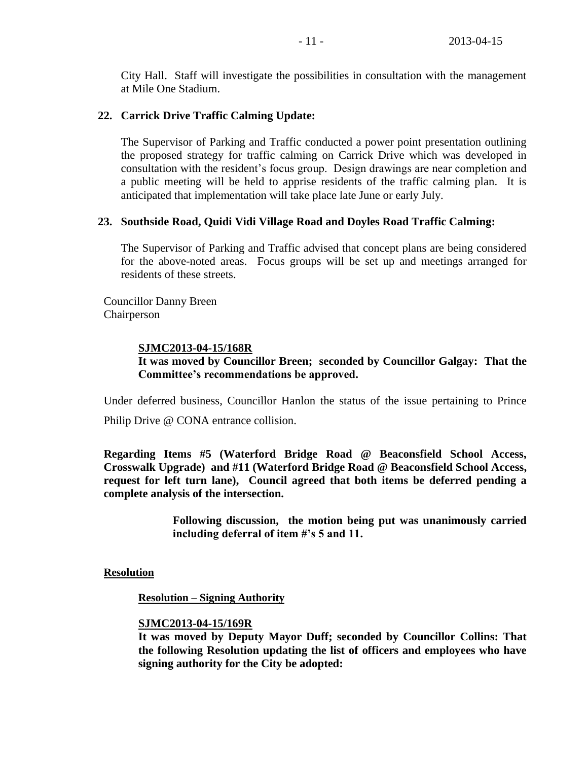City Hall. Staff will investigate the possibilities in consultation with the management at Mile One Stadium.

# **22. Carrick Drive Traffic Calming Update:**

The Supervisor of Parking and Traffic conducted a power point presentation outlining the proposed strategy for traffic calming on Carrick Drive which was developed in consultation with the resident's focus group. Design drawings are near completion and a public meeting will be held to apprise residents of the traffic calming plan. It is anticipated that implementation will take place late June or early July.

# **23. Southside Road, Quidi Vidi Village Road and Doyles Road Traffic Calming:**

The Supervisor of Parking and Traffic advised that concept plans are being considered for the above-noted areas. Focus groups will be set up and meetings arranged for residents of these streets.

Councillor Danny Breen Chairperson

# **SJMC2013-04-15/168R**

# **It was moved by Councillor Breen; seconded by Councillor Galgay: That the Committee's recommendations be approved.**

Under deferred business, Councillor Hanlon the status of the issue pertaining to Prince Philip Drive @ CONA entrance collision.

**Regarding Items #5 (Waterford Bridge Road @ Beaconsfield School Access, Crosswalk Upgrade) and #11 (Waterford Bridge Road @ Beaconsfield School Access, request for left turn lane), Council agreed that both items be deferred pending a complete analysis of the intersection.** 

> **Following discussion, the motion being put was unanimously carried including deferral of item #'s 5 and 11.**

**Resolution**

**Resolution – Signing Authority**

## **SJMC2013-04-15/169R**

**It was moved by Deputy Mayor Duff; seconded by Councillor Collins: That the following Resolution updating the list of officers and employees who have signing authority for the City be adopted:**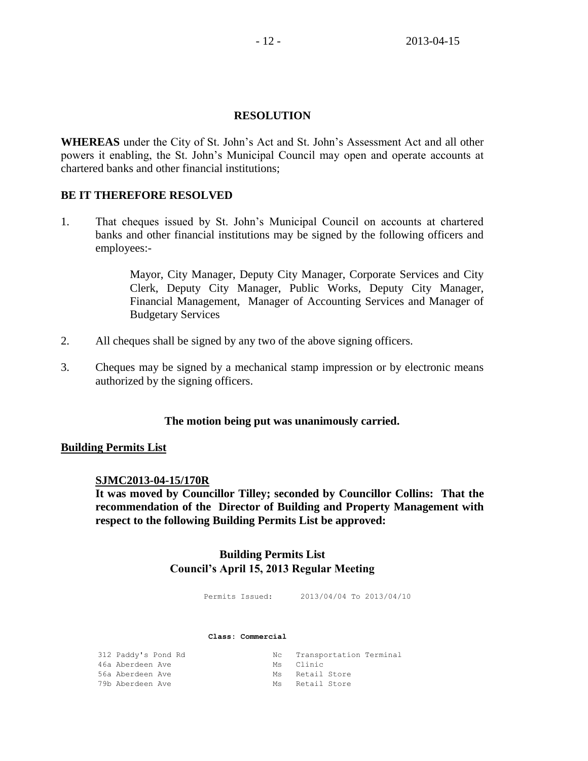## **RESOLUTION**

**WHEREAS** under the City of St. John's Act and St. John's Assessment Act and all other powers it enabling, the St. John's Municipal Council may open and operate accounts at chartered banks and other financial institutions;

## **BE IT THEREFORE RESOLVED**

1. That cheques issued by St. John's Municipal Council on accounts at chartered banks and other financial institutions may be signed by the following officers and employees:-

> Mayor, City Manager, Deputy City Manager, Corporate Services and City Clerk, Deputy City Manager, Public Works, Deputy City Manager, Financial Management, Manager of Accounting Services and Manager of Budgetary Services

- 2. All cheques shall be signed by any two of the above signing officers.
- 3. Cheques may be signed by a mechanical stamp impression or by electronic means authorized by the signing officers.

#### **The motion being put was unanimously carried.**

#### **Building Permits List**

#### **SJMC2013-04-15/170R**

**It was moved by Councillor Tilley; seconded by Councillor Collins: That the recommendation of the Director of Building and Property Management with respect to the following Building Permits List be approved:** 

# **Building Permits List Council's April 15, 2013 Regular Meeting**

Permits Issued: 2013/04/04 To 2013/04/10

#### **Class: Commercial**

| 312 Paddy's Pond Rd | Nc Transportation Terminal |  |
|---------------------|----------------------------|--|
| 46a Aberdeen Ave    | Ms Clinic                  |  |
| 56a Aberdeen Ave    | Ms Retail Store            |  |
| 79b Aberdeen Ave    | Ms Retail Store            |  |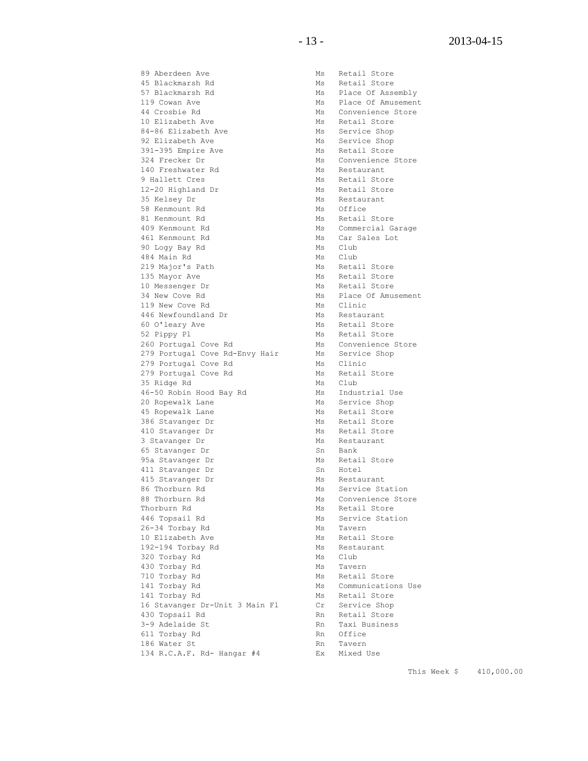89 Aberdeen Ave Ms Retail Store 45 Blackmarsh Rd<br>
57 Blackmarsh Rd<br>
Ms Place Of Asse 57 Blackmarsh Rd Ms Place Of Assembly<br>119 Cowan Ave Ms Place Of Amusemen 44 Crosbie Rd Ms Convenience Store 10 Elizabeth Ave Ms Retail Store 84-86 Elizabeth Ave Ms Service Shop 92 Elizabeth Ave Ms Service Shop 391-395 Empire Ave Montes Ms Retail Store 324 Frecker Dr Ms Convenience Store 140 Freshwater Rd Ms Restaurant 9 Hallett Cres Ms Retail Store 12-20 Highland Dr Ms Retail Store 35 Kelsey Dr Ms Restaurant 58 Kenmount Rd<br>81 Kenmount Rd<br>81 Kenmount Rd<br>Ms Retail 81 Kenmount Rd Ms Netail Store 409 Kenmount Rd Ms Commercial Garage 461 Kenmount Rd Ms Car Sales Lot 90 Logy Bay Rd Ms Club 484 Main Rd Ms Club 219 Major's Path Ms Retail Store 135 Mayor Ave **Manual Store** Ms Retail Store 10 Messenger Dr Ms Retail Store 34 New Cove Rd Ms Place Of Amusement 119 New Cove Rd Ms Clinic 446 Newfoundland Dr<br>
446 Newfoundland Dr<br>
60 O'leary Ave Ms Retail Stor 60 O'leary Ave Ms Retail Store 52 Pippy Pl Ms Retail Store 260 Portugal Cove Rd Ms Convenience Store 279 Portugal Cove Rd-Envy Hair Ms Service Shop 279 Portugal Cove Rd Ms Clinic 279 Portugal Cove Rd Ms Retail Store 35 Ridge Rd Ms Club 46-50 Robin Hood Bay Rd Ms Industrial Use 20 Ropewalk Lane Ms Service Shop 45 Ropewalk Lane Ms Retail Store 386 Stavanger Dr Ms Retail Store 410 Stavanger Dr Ms Retail Store 3 Stavanger Dr Ms Restaurant 65 Stavanger Dr Sn Bank 95a Stavanger Dr Ms Retail Store 411 Stavanger Dr Sn Hotel 415 Stavanger Dr Ms Restaurant er commission of the contract of the service of the service Station<br>
86 Thorburn Rd Ms Service Station 88 Thorburn Rd<br>Thorburn Rd<br>446 Topsail Rd 26-34 Torbay Rd Ms Tavern<br>10 Elizabeth Ave Ms Retail 10 Elizabeth Ave Ms Retail Store 192-194 Torbay Rd Mintendeum Ms Restaurant 320 Torbay Rd Ms Club 430 Torbay Rd Ms Tavern 710 Torbay Rd Ms Retail Store

1<br>Ms Place Of Amusement Ms Convenience Store<br>Ms Retail Store Ms Service Station<br>Ms Tavern<br>Ms -141 Torbay Rd **MS** Communications Use 141 Torbay Rd Ms Retail Store 16 Stavanger Dr-Unit 3 Main Fl Cr Service Shop 430 Topsail Rd Rn Retail Store 3-9 Adelaide St Rn Taxi Business<br>611 Torbay Rd Rn Office 611 Torbay Rd Rn Office 186 Water St **Rn** Tavern 134 R.C.A.F. Rd- Hangar #4 Ex Mixed Use

This Week \$ 410,000.00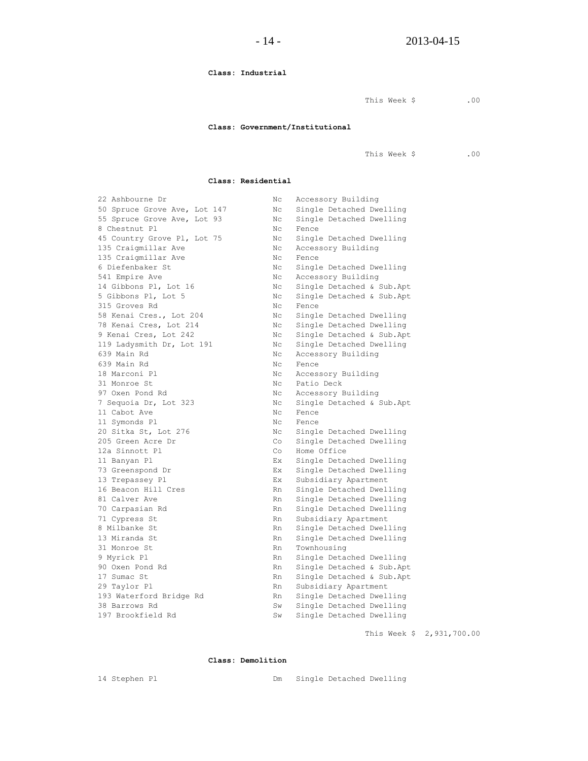**Class: Industrial**

This Week \$ .00

#### **Class: Government/Institutional**

This Week \$ .00

#### **Class: Residential**

| 22 Ashbourne Dr              | Nс        | Accessory Building        |
|------------------------------|-----------|---------------------------|
| 50 Spruce Grove Ave, Lot 147 | Nс        | Single Detached Dwelling  |
| 55 Spruce Grove Ave, Lot 93  | Nс        | Single Detached Dwelling  |
| 8 Chestnut Pl                | Nс        | Fence                     |
| 45 Country Grove Pl, Lot 75  | Nс        | Single Detached Dwelling  |
| 135 Craigmillar Ave          | Nс        | Accessory Building        |
| 135 Craigmillar Ave          | Nc.       | Fence                     |
| 6 Diefenbaker St             | Nc.       | Single Detached Dwelling  |
| 541 Empire Ave               | Nс        | Accessory Building        |
| 14 Gibbons Pl, Lot 16        | Nс        | Single Detached & Sub.Apt |
| 5 Gibbons Pl, Lot 5          | Nc.       | Single Detached & Sub.Apt |
| 315 Groves Rd                | Nc.       | Fence                     |
| 58 Kenai Cres., Lot 204      | Nс        | Single Detached Dwelling  |
| 78 Kenai Cres, Lot 214       | Nс        | Single Detached Dwelling  |
| 9 Kenai Cres, Lot 242        | Nс        | Single Detached & Sub.Apt |
| 119 Ladysmith Dr, Lot 191    | Nc.       | Single Detached Dwelling  |
| 639 Main Rd                  | Nc.       | Accessory Building        |
| 639 Main Rd                  | Nc.       | Fence                     |
| 18 Marconi Pl                | Nс        | Accessory Building        |
| 31 Monroe St                 | Nc.       | Patio Deck                |
| 97 Oxen Pond Rd              | Nc.       | Accessory Building        |
| 7 Sequoia Dr, Lot 323        | Nc.       | Single Detached & Sub.Apt |
| 11 Cabot Ave                 | Nс        | Fence                     |
| 11 Symonds Pl                | Nc.       | Fence                     |
| 20 Sitka St, Lot 276         | Nc.       | Single Detached Dwelling  |
| 205 Green Acre Dr            | Co        | Single Detached Dwelling  |
| 12a Sinnott Pl               | Co        | Home Office               |
| 11 Banyan Pl                 | Ex.       | Single Detached Dwelling  |
| 73 Greenspond Dr             | Ex.       | Single Detached Dwelling  |
| 13 Trepassey Pl              | Ex.       | Subsidiary Apartment      |
| 16 Beacon Hill Cres          | Rn        | Single Detached Dwelling  |
| 81 Calver Ave                | Rn        | Single Detached Dwelling  |
| 70 Carpasian Rd              | Rn        | Single Detached Dwelling  |
| 71 Cypress St                | Rn        | Subsidiary Apartment      |
| 8 Milbanke St                | Rn        | Single Detached Dwelling  |
| 13 Miranda St                | Rn        | Single Detached Dwelling  |
| 31 Monroe St                 | Rn        | Townhousing               |
| 9 Myrick Pl                  | Rn        | Single Detached Dwelling  |
| 90 Oxen Pond Rd              | Rn        | Single Detached & Sub.Apt |
| 17 Sumac St                  | Rn        | Single Detached & Sub.Apt |
| 29 Taylor Pl                 | Rn        | Subsidiary Apartment      |
| 193 Waterford Bridge Rd      | Rn        | Single Detached Dwelling  |
| 38 Barrows Rd                | Sw.       | Single Detached Dwelling  |
| 197 Brookfield Rd            | <b>Sw</b> | Single Detached Dwelling  |
|                              |           |                           |

This Week \$ 2,931,700.00

#### **Class: Demolition**

14 Stephen Pl Dm Single Detached Dwelling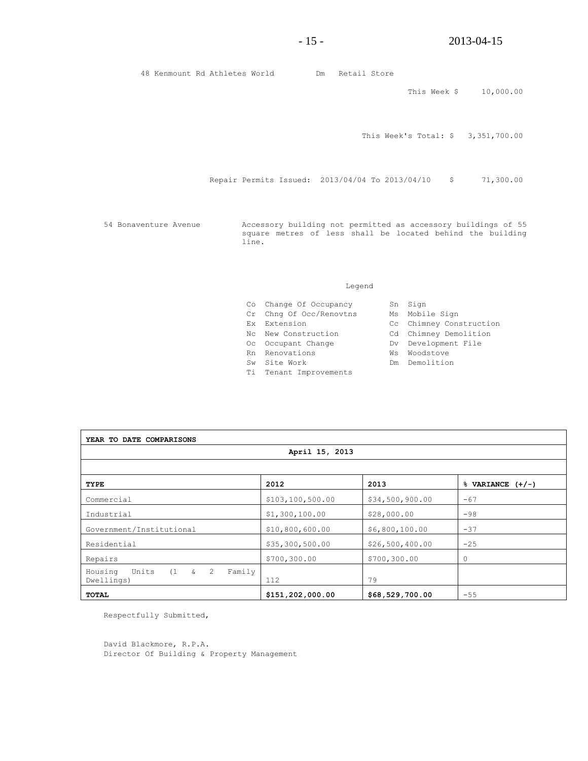48 Kenmount Rd Athletes World Dm Retail Store

This Week \$ 10,000.00

This Week's Total: \$ 3,351,700.00

Repair Permits Issued: 2013/04/04 To 2013/04/10 \$ 71,300.00

54 Bonaventure Avenue Accessory building not permitted as accessory buildings of 55 square metres of less shall be located behind the building line.

#### Legend

- Co Change Of Occupancy Sn Sign
- Cr Chng Of Occ/Renovtns Ms Mobile Sign
- 
- Nc New Construction Cd Chimney Demolition
- Oc Occupant Change Manuel Dv Development File
- Rn Renovations **WS Woodstove**
- Sw Site Work **Dm** Demolition
- Ti Tenant Improvements
- 
- Ex Extension Cc Chimney Construction
	-
	-
	-
	-
- **YEAR TO DATE COMPARISONS April 15, 2013 TYPE 2012 2013 % VARIANCE (+/-)** Commercial  $\left| \begin{array}{c} 5103,100,500.00 \end{array} \right| \left| \begin{array}{c} 534,500,900.00 \end{array} \right|$  -67 Industrial  $\begin{array}{|c|c|c|c|c|c|c|c|c|} \hline 51,300,100.00 & \text{ } & 28,000.00 & -98 \\ \hline \end{array}$ Government/Institutional \$10,800,600.00 \$6,800,100.00 -37 Residential  $\begin{array}{|l|} \hline \end{array}$  \$35,300,500.00  $\begin{array}{|l|} \hline \end{array}$  \$26,500,400.00  $\begin{array}{|l|} \hline \end{array}$  -25 Repairs 6.1 (1991) 6700,300.00 \$700,300.00 \$700,300.00 \$700,300.00 \$700,300.00 \$700,300.00 \$700,300.00 \$700,300 Housing Units (1 & 2 Family Dwellings) 29 **TOTAL \$151,202,000.00 \$68,529,700.00** -55

Respectfully Submitted,

David Blackmore, R.P.A. Director Of Building & Property Management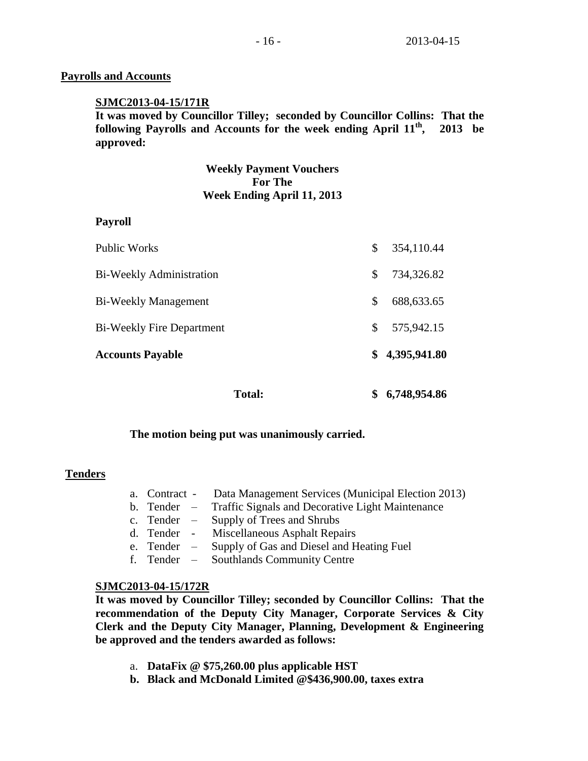# **Payrolls and Accounts**

## **SJMC2013-04-15/171R**

**It was moved by Councillor Tilley; seconded by Councillor Collins: That the following Payrolls and Accounts for the week ending April 11th , 2013 be approved:** 

> **Weekly Payment Vouchers For The Week Ending April 11, 2013**

## **Payroll**

| <b>Total:</b>                    | 6,748,954.86       |
|----------------------------------|--------------------|
| <b>Accounts Payable</b>          | \$<br>4,395,941.80 |
| <b>Bi-Weekly Fire Department</b> | \$<br>575,942.15   |
| Bi-Weekly Management             | \$<br>688, 633. 65 |
| <b>Bi-Weekly Administration</b>  | \$<br>734,326.82   |
| <b>Public Works</b>              | \$<br>354,110.44   |

#### **The motion being put was unanimously carried.**

## **Tenders**

- a. Contract Data Management Services (Municipal Election 2013)
- b. Tender Traffic Signals and Decorative Light Maintenance
- c. Tender Supply of Trees and Shrubs
- d. Tender Miscellaneous Asphalt Repairs
- e. Tender Supply of Gas and Diesel and Heating Fuel
- f. Tender Southlands Community Centre

## **SJMC2013-04-15/172R**

**It was moved by Councillor Tilley; seconded by Councillor Collins: That the recommendation of the Deputy City Manager, Corporate Services & City Clerk and the Deputy City Manager, Planning, Development & Engineering be approved and the tenders awarded as follows:**

- a. **DataFix @ \$75,260.00 plus applicable HST**
- **b. Black and McDonald Limited @\$436,900.00, taxes extra**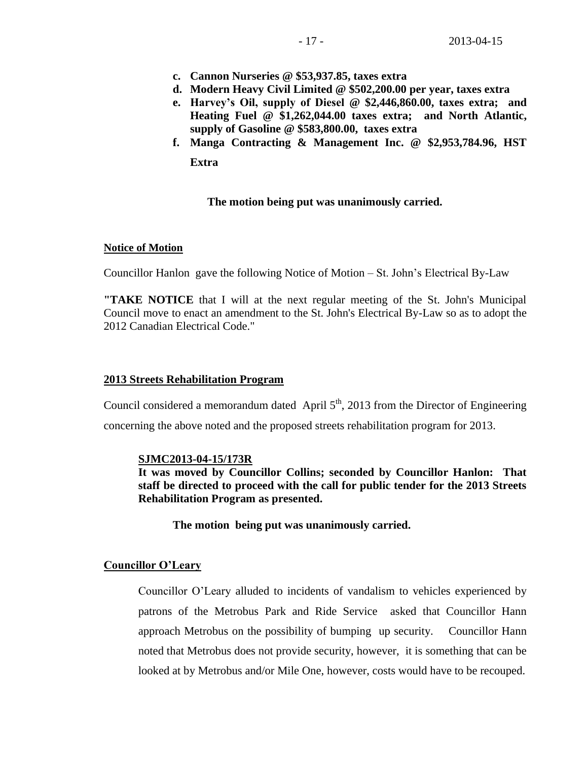- **c. Cannon Nurseries @ \$53,937.85, taxes extra**
- **d. Modern Heavy Civil Limited @ \$502,200.00 per year, taxes extra**
- **e. Harvey's Oil, supply of Diesel @ \$2,446,860.00, taxes extra; and Heating Fuel @ \$1,262,044.00 taxes extra; and North Atlantic, supply of Gasoline @ \$583,800.00, taxes extra**
- **f. Manga Contracting & Management Inc. @ \$2,953,784.96, HST Extra**

## **The motion being put was unanimously carried.**

## **Notice of Motion**

Councillor Hanlon gave the following Notice of Motion – St. John's Electrical By-Law

**"TAKE NOTICE** that I will at the next regular meeting of the St. John's Municipal Council move to enact an amendment to the St. John's Electrical By-Law so as to adopt the 2012 Canadian Electrical Code."

## **2013 Streets Rehabilitation Program**

Council considered a memorandum dated April  $5<sup>th</sup>$ , 2013 from the Director of Engineering concerning the above noted and the proposed streets rehabilitation program for 2013.

## **SJMC2013-04-15/173R**

**It was moved by Councillor Collins; seconded by Councillor Hanlon: That staff be directed to proceed with the call for public tender for the 2013 Streets Rehabilitation Program as presented.**

**The motion being put was unanimously carried.** 

## **Councillor O'Leary**

Councillor O'Leary alluded to incidents of vandalism to vehicles experienced by patrons of the Metrobus Park and Ride Service asked that Councillor Hann approach Metrobus on the possibility of bumping up security. Councillor Hann noted that Metrobus does not provide security, however, it is something that can be looked at by Metrobus and/or Mile One, however, costs would have to be recouped.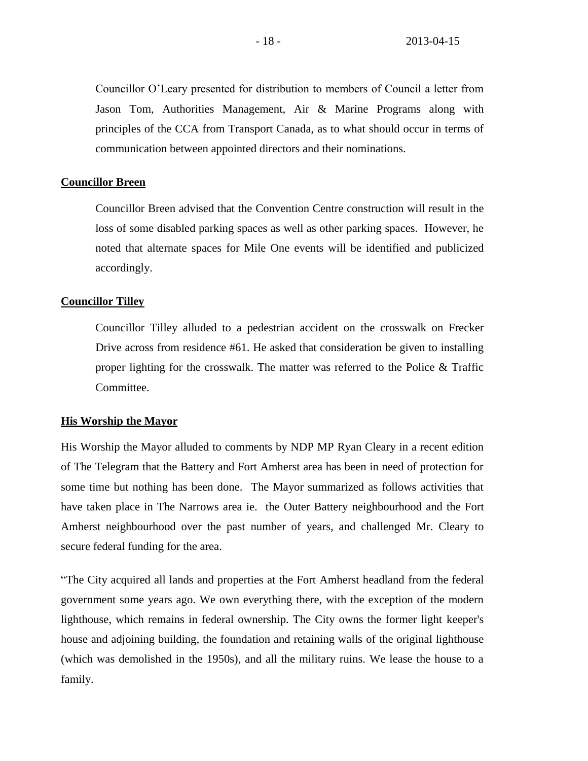Councillor O'Leary presented for distribution to members of Council a letter from Jason Tom, Authorities Management, Air & Marine Programs along with principles of the CCA from Transport Canada, as to what should occur in terms of communication between appointed directors and their nominations.

#### **Councillor Breen**

Councillor Breen advised that the Convention Centre construction will result in the loss of some disabled parking spaces as well as other parking spaces. However, he noted that alternate spaces for Mile One events will be identified and publicized accordingly.

#### **Councillor Tilley**

Councillor Tilley alluded to a pedestrian accident on the crosswalk on Frecker Drive across from residence #61. He asked that consideration be given to installing proper lighting for the crosswalk. The matter was referred to the Police & Traffic Committee.

#### **His Worship the Mayor**

His Worship the Mayor alluded to comments by NDP MP Ryan Cleary in a recent edition of The Telegram that the Battery and Fort Amherst area has been in need of protection for some time but nothing has been done. The Mayor summarized as follows activities that have taken place in The Narrows area ie. the Outer Battery neighbourhood and the Fort Amherst neighbourhood over the past number of years, and challenged Mr. Cleary to secure federal funding for the area.

"The City acquired all lands and properties at the Fort Amherst headland from the federal government some years ago. We own everything there, with the exception of the modern lighthouse, which remains in federal ownership. The City owns the former light keeper's house and adjoining building, the foundation and retaining walls of the original lighthouse (which was demolished in the 1950s), and all the military ruins. We lease the house to a family.